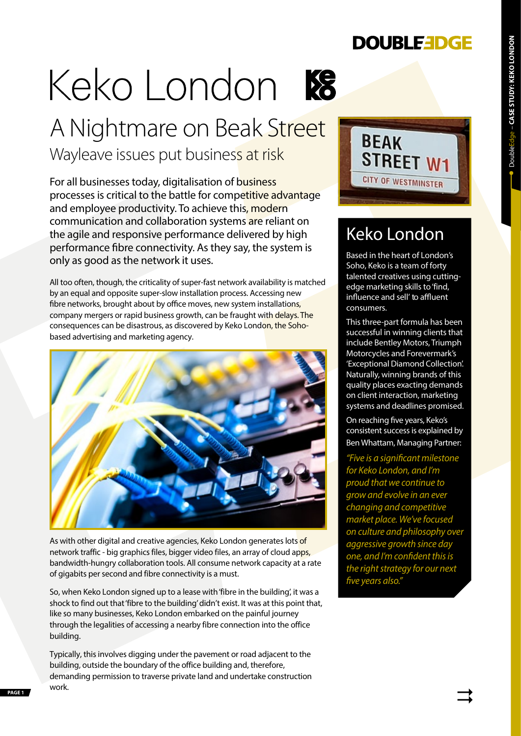### **DOUBLEEDGE**

# DoubleEdge – **CASE STUDY: KEKO LONDON** • DoubleEdge - CASE STUDY: KEKO LONDON

## Keko London



Wayleave issues put business at risk

For all businesses today, digitalisation of business processes is critical to the battle for competitive advantage and employee productivity. To achieve this, modern communication and collaboration systems are reliant on the agile and responsive performance delivered by high performance fibre connectivity. As they say, the system is only as good as the network it uses.

All too often, though, the criticality of super-fast network availability is matched by an equal and opposite super-slow installation process. Accessing new fibre networks, brought about by office moves, new system installations, company mergers or rapid business growth, can be fraught with delays. The consequences can be disastrous, as discovered by Keko London, the Sohobased advertising and marketing agency.



As with other digital and creative agencies, Keko London generates lots of network traffic - big graphics files, bigger video files, an array of cloud apps, bandwidth-hungry collaboration tools. All consume network capacity at a rate of gigabits per second and fibre connectivity is a must.

So, when Keko London signed up to a lease with'fibre in the building', it was a shock to find out that 'fibre to the building' didn't exist. It was at this point that, like so many businesses, Keko London embarked on the painful journey through the legalities of accessing a nearby fibre connection into the office building.

**PAGE 1** WOTK. Typically, this involves digging under the pavement or road adjacent to the building, outside the boundary of the office building and, therefore, demanding permission to traverse private land and undertake construction work.



## Keko London

Based in the heart of London's Soho, Keko is a team of forty talented creatives using cuttingedge marketing skills to 'find, influence and sell' to affluent consumers.

This three-part formula has been successful in winning clients that include Bentley Motors, Triumph Motorcycles and Forevermark's 'Exceptional Diamond Collection'. Naturally, winning brands of this quality places exacting demands on client interaction, marketing systems and deadlines promised.

On reaching five years, Keko's consistent success is explained by Ben Whattam, Managing Partner:

*"Five is a significant milestone for Keko London, and I'm proud that we continue to grow and evolve in an ever changing and competitive market place. We've focused on culture and philosophy over aggressive growth since day one, and I'm confident this is the right strategy for our next five years also."*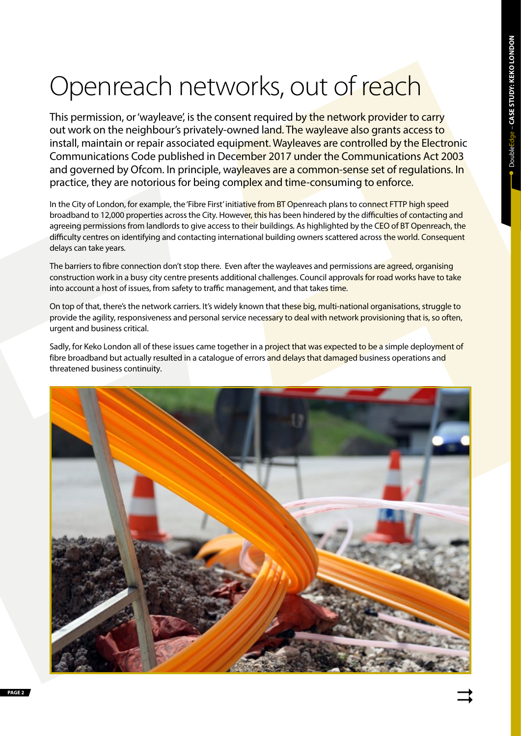# Openreach networks, out of reach

This permission, or 'wayleave', is the consent required by the network provider to carry out work on the neighbour's privately-owned land. The wayleave also grants access to install, maintain or repair associated equipment. Wayleaves are controlled by the Electronic Communications Code published in December 2017 under the Communications Act 2003 and governed by Ofcom. In principle, wayleaves are a common-sense set of regulations. In practice, they are notorious for being complex and time-consuming to enforce.

In the City of London, for example, the 'Fibre First' initiative from BT Openreach plans to connect FTTP high speed broadband to 12,000 properties across the City. However, this has been hindered by the difficulties of contacting and agreeing permissions from landlords to give access to their buildings. As highlighted by the CEO of BT Openreach, the difficulty centres on identifying and contacting international building owners scattered across the world. Consequent delays can take years.

The barriers to fibre connection don't stop there. Even after the wayleaves and permissions are agreed, organising construction work in a busy city centre presents additional challenges. Council approvals for road works have to take into account a host of issues, from safety to traffic management, and that takes time.

On top of that, there's the network carriers. It's widely known that these big, multi-national organisations, struggle to provide the agility, responsiveness and personal service necessary to deal with network provisioning that is, so often, urgent and business critical.

Sadly, for Keko London all of these issues came together in a project that was expected to be a simple deployment of fibre broadband but actually resulted in a catalogue of errors and delays that damaged business operations and threatened business continuity.

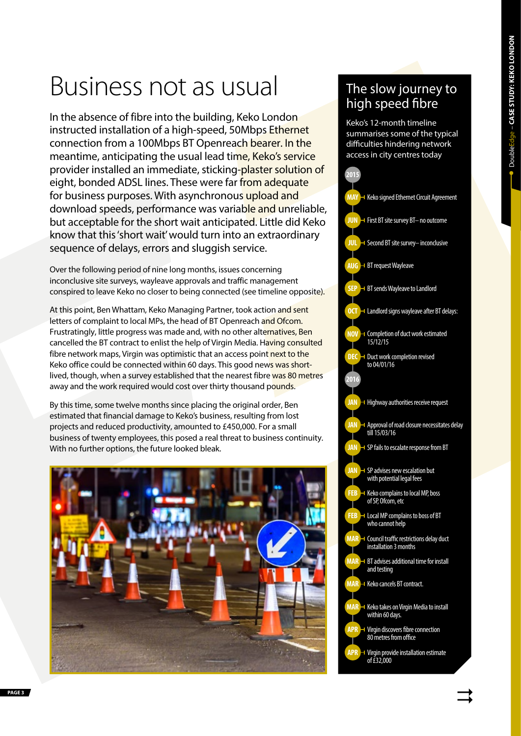# Business not as usual

In the absence of fibre into the building, Keko London instructed installation of a high-speed, 50Mbps Ethernet connection from a 100Mbps BT Openreach bearer. In the meantime, anticipating the usual lead time, Keko's service provider installed an immediate, sticking-plaster solution of eight, bonded ADSL lines. These were far from adequate for business purposes. With asynchronous upload and download speeds, performance was variable and unreliable, but acceptable for the short wait anticipated. Little did Keko know that this'short wait' would turn into an extraordinary sequence of delays, errors and sluggish service.

Over the following period of nine long months, issues concerning inconclusive site surveys, wayleave approvals and traffic management conspired to leave Keko no closer to being connected (see timeline opposite).

At this point, Ben Whattam, Keko Managing Partner, took action and sent letters of complaint to local MPs, the head of BT Openreach and Ofcom. Frustratingly, little progress was made and, with no other alternatives, Ben cancelled the BT contract to enlist the help of Virgin Media. Having consulted fibre network maps, Virgin was optimistic that an access point next to the Keko office could be connected within 60 days. This good news was shortlived, though, when a survey established that the nearest fibre was 80 metres away and the work required would cost over thirty thousand pounds.

By this time, some twelve months since placing the original order, Ben estimated that financial damage to Keko's business, resulting from lost projects and reduced productivity, amounted to £450,000. For a small business of twenty employees, this posed a real threat to business continuity. With no further options, the future looked bleak.



#### The slow journey to high speed fibre

Keko's 12-month timeline summarises some of the typical difficulties hindering network access in city centres today